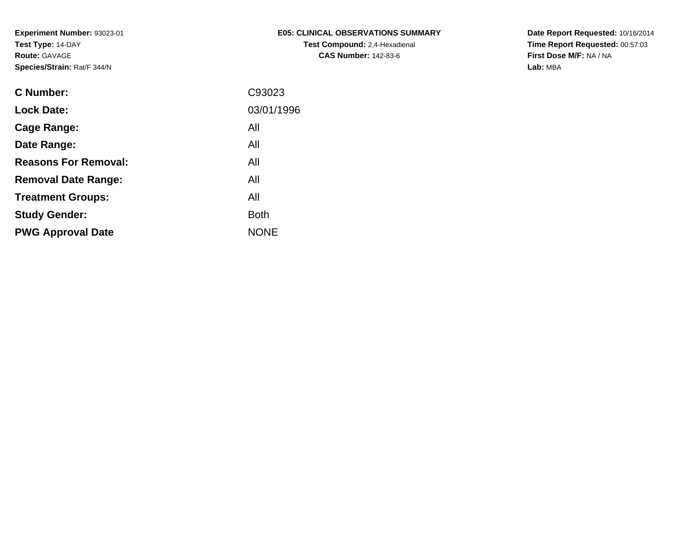| E05: CLINICAL OBSERVATIONS SUMMARY   |
|--------------------------------------|
| <b>Test Compound: 2.4-Hexadienal</b> |
| <b>CAS Number: 142-83-6</b>          |

**Date Report Requested:** 10/16/2014 **Time Report Requested:** 00:57:03**First Dose M/F:** NA / NA**Lab:** MBA

| <b>C</b> Number:            | C93023      |
|-----------------------------|-------------|
| <b>Lock Date:</b>           | 03/01/1996  |
| Cage Range:                 | All         |
| Date Range:                 | All         |
| <b>Reasons For Removal:</b> | All         |
| <b>Removal Date Range:</b>  | All         |
| <b>Treatment Groups:</b>    | All         |
| <b>Study Gender:</b>        | <b>Both</b> |
| <b>PWG Approval Date</b>    | <b>NONE</b> |
|                             |             |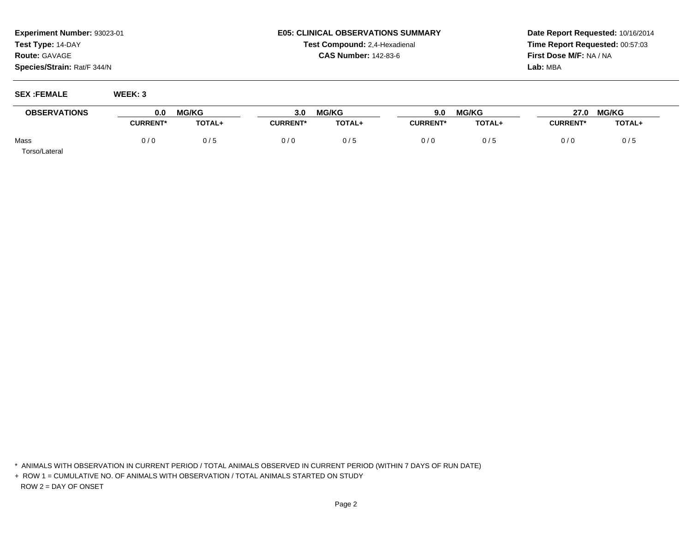## **E05: CLINICAL OBSERVATIONS SUMMARYTest Compound:** 2,4-Hexadienal **CAS Number:** 142-83-6

**Date Report Requested:** 10/16/2014**Time Report Requested:** 00:57:03**First Dose M/F:** NA / NA**Lab:** MBA

**SEX :FEMALE WEEK: 3**

| <b>OBSERVATIONS</b> | <b>MG/KG</b><br>0.0 |        | <b>MG/KG</b><br>3.0 |        | <b>MG/KG</b><br>9.0 |               | 27.0             | <b>MG/KG</b> |  |
|---------------------|---------------------|--------|---------------------|--------|---------------------|---------------|------------------|--------------|--|
|                     | <b>CURRENT*</b>     | TOTAL+ | <b>CURRENT</b>      | TOTAL+ | <b>CURRENT*</b>     | <b>TOTAL+</b> | <b>CURRENT</b> ' | TOTAL+       |  |
| Mass                | 0/0                 | 0/5    | 0/0                 | 0/5    | 0/0                 | 0 / 5         | 0/6              | 0/5          |  |

Torso/Lateral

\* ANIMALS WITH OBSERVATION IN CURRENT PERIOD / TOTAL ANIMALS OBSERVED IN CURRENT PERIOD (WITHIN 7 DAYS OF RUN DATE)

+ ROW 1 = CUMULATIVE NO. OF ANIMALS WITH OBSERVATION / TOTAL ANIMALS STARTED ON STUDYROW 2 = DAY OF ONSET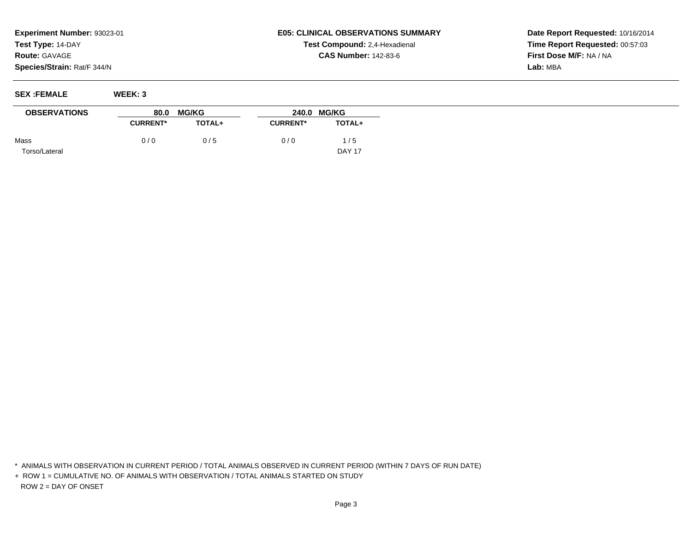## **E05: CLINICAL OBSERVATIONS SUMMARYTest Compound:** 2,4-Hexadienal **CAS Number:** 142-83-6

**Date Report Requested:** 10/16/2014**Time Report Requested:** 00:57:03**First Dose M/F:** NA / NA**Lab:** MBA

**SEX :FEMALE WEEK: 3**

 $\overline{\phantom{0}}$ 

| <b>OBSERVATIONS</b> | 80.0            | <b>MG/KG</b>  | <b>MG/KG</b><br>240.0 |               |  |
|---------------------|-----------------|---------------|-----------------------|---------------|--|
|                     | <b>CURRENT*</b> | <b>TOTAL+</b> | <b>CURRENT*</b>       | <b>TOTAL+</b> |  |
| Mass                | 0/0             | 0/5           | 0/0                   | 1/5           |  |
| Torso/Lateral       |                 |               |                       | <b>DAY 17</b> |  |

\* ANIMALS WITH OBSERVATION IN CURRENT PERIOD / TOTAL ANIMALS OBSERVED IN CURRENT PERIOD (WITHIN 7 DAYS OF RUN DATE)

+ ROW 1 = CUMULATIVE NO. OF ANIMALS WITH OBSERVATION / TOTAL ANIMALS STARTED ON STUDYROW 2 = DAY OF ONSET